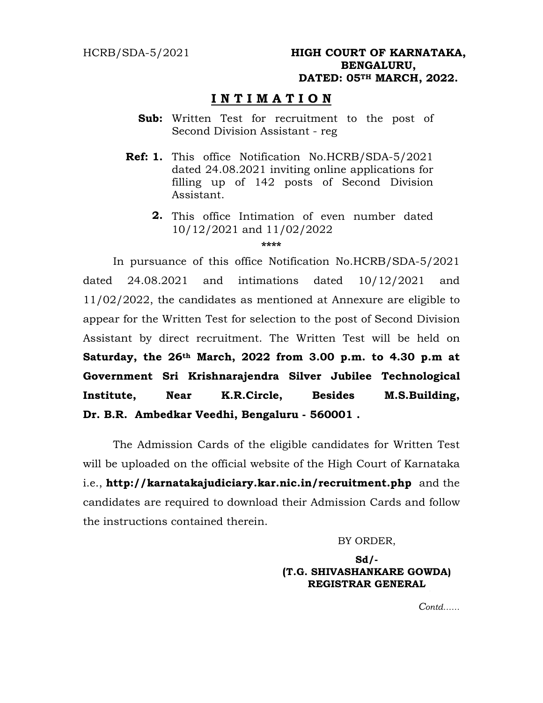# **I N T I M A T I O N**

- **Sub:** Written Test for recruitment to the post of Second Division Assistant - reg
- **Ref: 1.** This office Notification No.HCRB/SDA-5/2021 dated 24.08.2021 inviting online applications for filling up of 142 posts of Second Division Assistant.
	- **2.**  This office Intimation of even number dated 10/12/2021 and 11/02/2022

**\*\*\*\*** 

 In pursuance of this office Notification No.HCRB/SDA-5/2021 dated 24.08.2021 and intimations dated 10/12/2021 and 11/02/2022, the candidates as mentioned at Annexure are eligible to appear for the Written Test for selection to the post of Second Division Assistant by direct recruitment. The Written Test will be held on **Saturday, the 26th March, 2022 from 3.00 p.m. to 4.30 p.m at Government Sri Krishnarajendra Silver Jubilee Technological Institute, Near K.R.Circle, Besides M.S.Building, Dr. B.R. Ambedkar Veedhi, Bengaluru - 560001 .** 

 The Admission Cards of the eligible candidates for Written Test will be uploaded on the official website of the High Court of Karnataka i.e., **http://karnatakajudiciary.kar.nic.in/recruitment.php** and the candidates are required to download their Admission Cards and follow the instructions contained therein.

BY ORDER,

## **Sd/- (T.G. SHIVASHANKARE GOWDA) REGISTRAR GENERAL**  ,

*Contd……*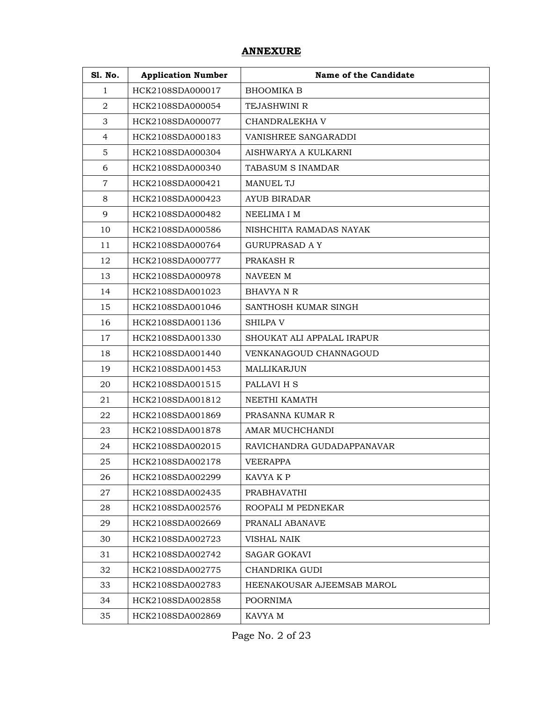## **ANNEXURE**

| <b>S1. No.</b> | <b>Application Number</b> | Name of the Candidate      |
|----------------|---------------------------|----------------------------|
| $\mathbf{1}$   | HCK2108SDA000017          | <b>BHOOMIKA B</b>          |
| $\overline{2}$ | HCK2108SDA000054          | <b>TEJASHWINI R</b>        |
| 3              | HCK2108SDA000077          | CHANDRALEKHA V             |
| $\overline{4}$ | HCK2108SDA000183          | VANISHREE SANGARADDI       |
| $\overline{5}$ | HCK2108SDA000304          | AISHWARYA A KULKARNI       |
| 6              | HCK2108SDA000340          | TABASUM S INAMDAR          |
| $\overline{7}$ | HCK2108SDA000421          | <b>MANUEL TJ</b>           |
| 8              | HCK2108SDA000423          | AYUB BIRADAR               |
| 9              | HCK2108SDA000482          | NEELIMA I M                |
| 10             | HCK2108SDA000586          | NISHCHITA RAMADAS NAYAK    |
| 11             | HCK2108SDA000764          | <b>GURUPRASAD A Y</b>      |
| 12             | HCK2108SDA000777          | PRAKASH R                  |
| 13             | HCK2108SDA000978          | NAVEEN M                   |
| 14             | HCK2108SDA001023          | <b>BHAVYA N R</b>          |
| 15             | HCK2108SDA001046          | SANTHOSH KUMAR SINGH       |
| 16             | HCK2108SDA001136          | <b>SHILPA V</b>            |
| 17             | HCK2108SDA001330          | SHOUKAT ALI APPALAL IRAPUR |
| 18             | HCK2108SDA001440          | VENKANAGOUD CHANNAGOUD     |
| 19             | HCK2108SDA001453          | MALLIKARJUN                |
| 20             | HCK2108SDA001515          | PALLAVI H S                |
| 21             | HCK2108SDA001812          | NEETHI KAMATH              |
| 22             | HCK2108SDA001869          | PRASANNA KUMAR R           |
| 23             | HCK2108SDA001878          | AMAR MUCHCHANDI            |
| 24             | HCK2108SDA002015          | RAVICHANDRA GUDADAPPANAVAR |
| 25             | HCK2108SDA002178          | VEERAPPA                   |
| 26             | HCK2108SDA002299          | KAVYA K P                  |
| 27             | HCK2108SDA002435          | PRABHAVATHI                |
| 28             | HCK2108SDA002576          | ROOPALI M PEDNEKAR         |
| 29             | HCK2108SDA002669          | PRANALI ABANAVE            |
| 30             | HCK2108SDA002723          | VISHAL NAIK                |
| 31             | HCK2108SDA002742          | <b>SAGAR GOKAVI</b>        |
| 32             | HCK2108SDA002775          | CHANDRIKA GUDI             |
| 33             | HCK2108SDA002783          | HEENAKOUSAR AJEEMSAB MAROL |
| 34             | HCK2108SDA002858          | <b>POORNIMA</b>            |
| 35             | HCK2108SDA002869          | KAVYA M                    |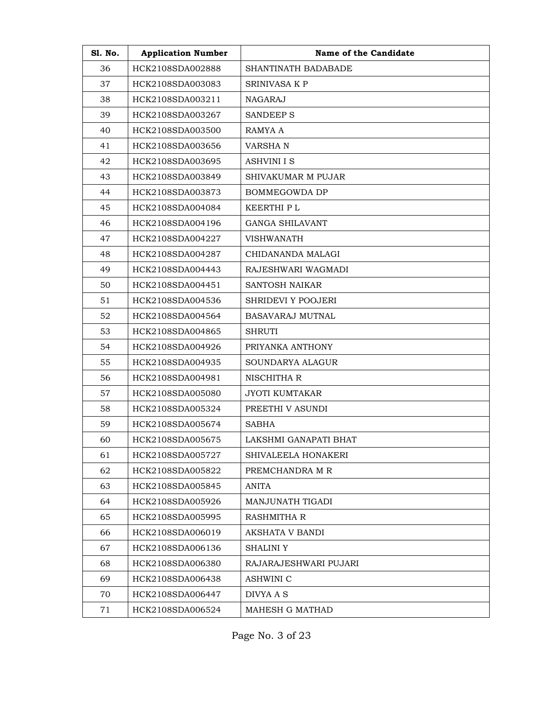| <b>S1. No.</b> | <b>Application Number</b> | Name of the Candidate     |
|----------------|---------------------------|---------------------------|
| 36             | HCK2108SDA002888          | SHANTINATH BADABADE       |
| 37             | HCK2108SDA003083          | <b>SRINIVASA K P</b>      |
| 38             | HCK2108SDA003211          | NAGARAJ                   |
| 39             | HCK2108SDA003267          | <b>SANDEEP S</b>          |
| 40             | HCK2108SDA003500          | RAMYA A                   |
| 41             | HCK2108SDA003656          | <b>VARSHAN</b>            |
| 42             | HCK2108SDA003695          | <b>ASHVINI I S</b>        |
| 43             | HCK2108SDA003849          | <b>SHIVAKUMAR M PUJAR</b> |
| 44             | HCK2108SDA003873          | <b>BOMMEGOWDA DP</b>      |
| 45             | HCK2108SDA004084          | KEERTHI P L               |
| 46             | HCK2108SDA004196          | <b>GANGA SHILAVANT</b>    |
| 47             | HCK2108SDA004227          | <b>VISHWANATH</b>         |
| 48             | HCK2108SDA004287          | CHIDANANDA MALAGI         |
| 49             | HCK2108SDA004443          | RAJESHWARI WAGMADI        |
| 50             | HCK2108SDA004451          | <b>SANTOSH NAIKAR</b>     |
| 51             | HCK2108SDA004536          | SHRIDEVI Y POOJERI        |
| 52             | HCK2108SDA004564          | BASAVARAJ MUTNAL          |
| 53             | HCK2108SDA004865          | <b>SHRUTI</b>             |
| 54             | HCK2108SDA004926          | PRIYANKA ANTHONY          |
| 55             | HCK2108SDA004935          | SOUNDARYA ALAGUR          |
| 56             | HCK2108SDA004981          | NISCHITHA R               |
| 57             | HCK2108SDA005080          | JYOTI KUMTAKAR            |
| 58             | HCK2108SDA005324          | PREETHI V ASUNDI          |
| 59             | HCK2108SDA005674          | SABHA                     |
| 60             | HCK2108SDA005675          | LAKSHMI GANAPATI BHAT     |
| 61             | HCK2108SDA005727          | SHIVALEELA HONAKERI       |
| 62             | HCK2108SDA005822          | PREMCHANDRA M R           |
| 63             | HCK2108SDA005845          | ANITA                     |
| 64             | HCK2108SDA005926          | MANJUNATH TIGADI          |
| 65             | HCK2108SDA005995          | <b>RASHMITHA R</b>        |
| 66             | HCK2108SDA006019          | <b>AKSHATA V BANDI</b>    |
| 67             | HCK2108SDA006136          | <b>SHALINI Y</b>          |
| 68             | HCK2108SDA006380          | RAJARAJESHWARI PUJARI     |
| 69             | HCK2108SDA006438          | ASHWINI C                 |
| 70             | HCK2108SDA006447          | DIVYA A S                 |
| 71             | HCK2108SDA006524          | MAHESH G MATHAD           |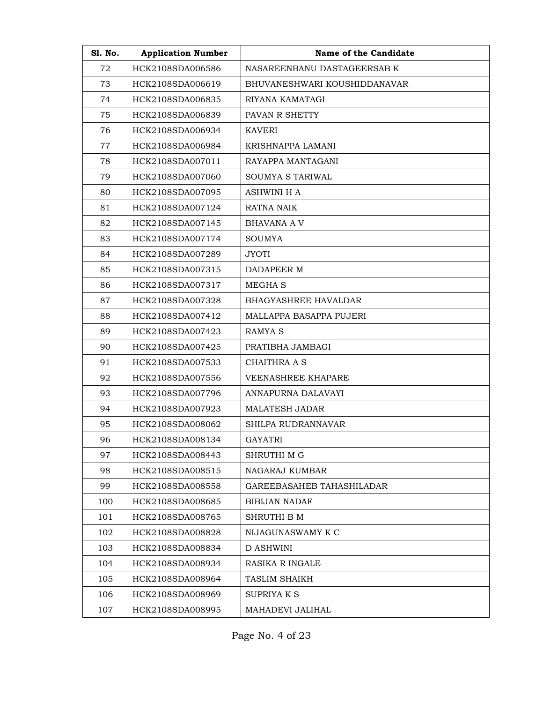| <b>S1. No.</b> | <b>Application Number</b> | Name of the Candidate        |
|----------------|---------------------------|------------------------------|
| 72             | HCK2108SDA006586          | NASAREENBANU DASTAGEERSAB K  |
| 73             | HCK2108SDA006619          | BHUVANESHWARI KOUSHIDDANAVAR |
| 74             | HCK2108SDA006835          | RIYANA KAMATAGI              |
| 75             | HCK2108SDA006839          | PAVAN R SHETTY               |
| 76             | HCK2108SDA006934          | <b>KAVERI</b>                |
| 77             | HCK2108SDA006984          | KRISHNAPPA LAMANI            |
| 78             | HCK2108SDA007011          | RAYAPPA MANTAGANI            |
| 79             | HCK2108SDA007060          | SOUMYA S TARIWAL             |
| 80             | HCK2108SDA007095          | <b>ASHWINI H A</b>           |
| 81             | HCK2108SDA007124          | RATNA NAIK                   |
| 82             | HCK2108SDA007145          | <b>BHAVANA A V</b>           |
| 83             | HCK2108SDA007174          | <b>SOUMYA</b>                |
| 84             | HCK2108SDA007289          | <b>JYOTI</b>                 |
| 85             | HCK2108SDA007315          | DADAPEER M                   |
| 86             | HCK2108SDA007317          | <b>MEGHAS</b>                |
| 87             | HCK2108SDA007328          | <b>BHAGYASHREE HAVALDAR</b>  |
| 88             | HCK2108SDA007412          | MALLAPPA BASAPPA PUJERI      |
| 89             | HCK2108SDA007423          | <b>RAMYA S</b>               |
| 90             | HCK2108SDA007425          | PRATIBHA JAMBAGI             |
| 91             | HCK2108SDA007533          | <b>CHAITHRA A S</b>          |
| 92             | HCK2108SDA007556          | VEENASHREE KHAPARE           |
| 93             | HCK2108SDA007796          | ANNAPURNA DALAVAYI           |
| 94             | HCK2108SDA007923          | <b>MALATESH JADAR</b>        |
| 95             | HCK2108SDA008062          | SHILPA RUDRANNAVAR           |
| 96             | HCK2108SDA008134          | GAYATRI                      |
| 97             | HCK2108SDA008443          | SHRUTHI M G                  |
| 98             | HCK2108SDA008515          | NAGARAJ KUMBAR               |
| 99             | HCK2108SDA008558          | GAREEBASAHEB TAHASHILADAR    |
| 100            | HCK2108SDA008685          | <b>BIBIJAN NADAF</b>         |
| 101            | HCK2108SDA008765          | SHRUTHI B M                  |
| 102            | HCK2108SDA008828          | NIJAGUNASWAMY K C            |
| 103            | HCK2108SDA008834          | D ASHWINI                    |
| 104            | HCK2108SDA008934          | RASIKA R INGALE              |
| 105            | HCK2108SDA008964          | TASLIM SHAIKH                |
| 106            | HCK2108SDA008969          | <b>SUPRIYAKS</b>             |
| 107            | HCK2108SDA008995          | MAHADEVI JALIHAL             |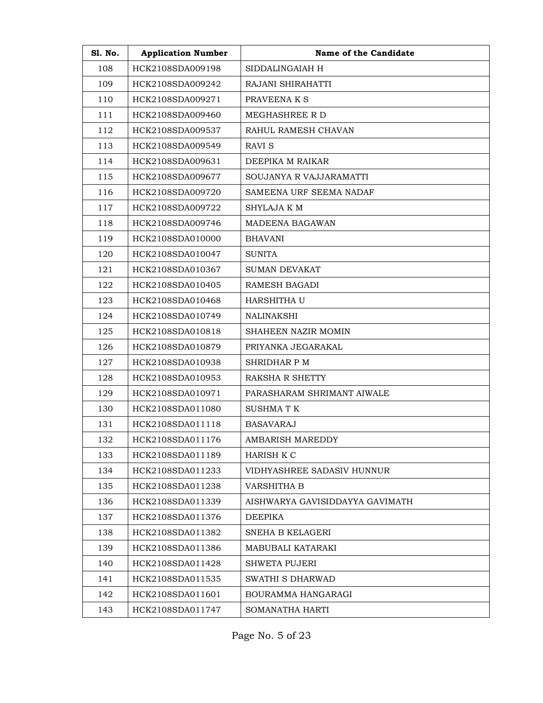| <b>S1. No.</b> | <b>Application Number</b> | Name of the Candidate           |
|----------------|---------------------------|---------------------------------|
| 108            | HCK2108SDA009198          | SIDDALINGAIAH H                 |
| 109            | HCK2108SDA009242          | RAJANI SHIRAHATTI               |
| 110            | HCK2108SDA009271          | PRAVEENA K S                    |
| 111            | HCK2108SDA009460          | MEGHASHREE R D                  |
| 112            | HCK2108SDA009537          | RAHUL RAMESH CHAVAN             |
| 113            | HCK2108SDA009549          | RAVI S                          |
| 114            | HCK2108SDA009631          | DEEPIKA M RAIKAR                |
| 115            | HCK2108SDA009677          | SOUJANYA R VAJJARAMATTI         |
| 116            | HCK2108SDA009720          | SAMEENA URF SEEMA NADAF         |
| 117            | HCK2108SDA009722          | SHYLAJA K M                     |
| 118            | HCK2108SDA009746          | MADEENA BAGAWAN                 |
| 119            | HCK2108SDA010000          | <b>BHAVANI</b>                  |
| 120            | HCK2108SDA010047          | <b>SUNITA</b>                   |
| 121            | HCK2108SDA010367          | <b>SUMAN DEVAKAT</b>            |
| 122            | HCK2108SDA010405          | RAMESH BAGADI                   |
| 123            | HCK2108SDA010468          | HARSHITHA U                     |
| 124            | HCK2108SDA010749          | <b>NALINAKSHI</b>               |
| 125            | HCK2108SDA010818          | SHAHEEN NAZIR MOMIN             |
| 126            | HCK2108SDA010879          | PRIYANKA JEGARAKAL              |
| 127            | HCK2108SDA010938          | SHRIDHAR P M                    |
| 128            | HCK2108SDA010953          | RAKSHA R SHETTY                 |
| 129            | HCK2108SDA010971          | PARASHARAM SHRIMANT AIWALE      |
| 130            | HCK2108SDA011080          | SUSHMA T K                      |
| 131            | HCK2108SDA011118          | BASAVARAJ                       |
| 132            | HCK2108SDA011176          | AMBARISH MAREDDY                |
| 133            | HCK2108SDA011189          | HARISH K C                      |
| 134            | HCK2108SDA011233          | VIDHYASHREE SADASIV HUNNUR      |
| 135            | HCK2108SDA011238          | VARSHITHA B                     |
| 136            | HCK2108SDA011339          | AISHWARYA GAVISIDDAYYA GAVIMATH |
| 137            | HCK2108SDA011376          | DEEPIKA                         |
| 138            | HCK2108SDA011382          | SNEHA B KELAGERI                |
| 139            | HCK2108SDA011386          | MABUBALI KATARAKI               |
| 140            | HCK2108SDA011428          | <b>SHWETA PUJERI</b>            |
| 141            | HCK2108SDA011535          | SWATHI S DHARWAD                |
| 142            | HCK2108SDA011601          | BOURAMMA HANGARAGI              |
| 143            | HCK2108SDA011747          | SOMANATHA HARTI                 |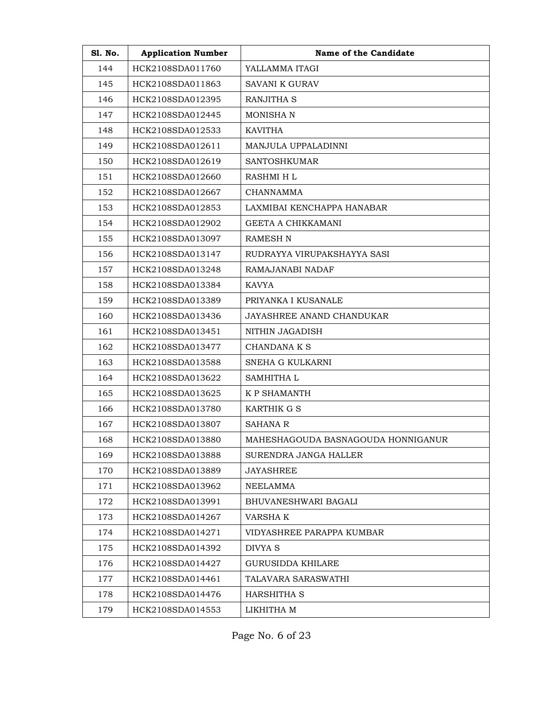| <b>S1. No.</b> | <b>Application Number</b> | Name of the Candidate              |
|----------------|---------------------------|------------------------------------|
| 144            | HCK2108SDA011760          | YALLAMMA ITAGI                     |
| 145            | HCK2108SDA011863          | SAVANI K GURAV                     |
| 146            | HCK2108SDA012395          | RANJITHA S                         |
| 147            | HCK2108SDA012445          | MONISHA N                          |
| 148            | HCK2108SDA012533          | <b>KAVITHA</b>                     |
| 149            | HCK2108SDA012611          | MANJULA UPPALADINNI                |
| 150            | HCK2108SDA012619          | <b>SANTOSHKUMAR</b>                |
| 151            | HCK2108SDA012660          | RASHMI H L                         |
| 152            | HCK2108SDA012667          | CHANNAMMA                          |
| 153            | HCK2108SDA012853          | LAXMIBAI KENCHAPPA HANABAR         |
| 154            | HCK2108SDA012902          | GEETA A CHIKKAMANI                 |
| 155            | HCK2108SDA013097          | RAMESH N                           |
| 156            | HCK2108SDA013147          | RUDRAYYA VIRUPAKSHAYYA SASI        |
| 157            | HCK2108SDA013248          | RAMAJANABI NADAF                   |
| 158            | HCK2108SDA013384          | KAVYA                              |
| 159            | HCK2108SDA013389          | PRIYANKA I KUSANALE                |
| 160            | HCK2108SDA013436          | JAYASHREE ANAND CHANDUKAR          |
| 161            | HCK2108SDA013451          | NITHIN JAGADISH                    |
| 162            | HCK2108SDA013477          | CHANDANA K S                       |
| 163            | HCK2108SDA013588          | SNEHA G KULKARNI                   |
| 164            | HCK2108SDA013622          | SAMHITHA L                         |
| 165            | HCK2108SDA013625          | K P SHAMANTH                       |
| 166            | HCK2108SDA013780          | KARTHIK G S                        |
| 167            | HCK2108SDA013807          | <b>SAHANA R</b>                    |
| 168            | HCK2108SDA013880          | MAHESHAGOUDA BASNAGOUDA HONNIGANUR |
| 169            | HCK2108SDA013888          | SURENDRA JANGA HALLER              |
| 170            | HCK2108SDA013889          | JAYASHREE                          |
| 171            | HCK2108SDA013962          | NEELAMMA                           |
| 172            | HCK2108SDA013991          | BHUVANESHWARI BAGALI               |
| 173            | HCK2108SDA014267          | VARSHA K                           |
| 174            | HCK2108SDA014271          | VIDYASHREE PARAPPA KUMBAR          |
| 175            | HCK2108SDA014392          | DIVYA S                            |
| 176            | HCK2108SDA014427          | <b>GURUSIDDA KHILARE</b>           |
| 177            | HCK2108SDA014461          | TALAVARA SARASWATHI                |
| 178            | HCK2108SDA014476          | HARSHITHA S                        |
| 179            | HCK2108SDA014553          | LIKHITHA M                         |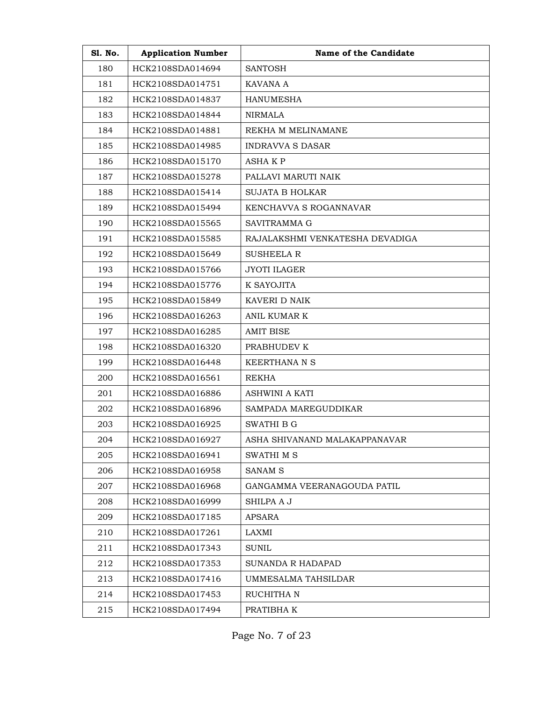| <b>S1. No.</b> | <b>Application Number</b> | Name of the Candidate           |
|----------------|---------------------------|---------------------------------|
| 180            | HCK2108SDA014694          | <b>SANTOSH</b>                  |
| 181            | HCK2108SDA014751          | KAVANA A                        |
| 182            | HCK2108SDA014837          | <b>HANUMESHA</b>                |
| 183            | HCK2108SDA014844          | NIRMALA                         |
| 184            | HCK2108SDA014881          | REKHA M MELINAMANE              |
| 185            | HCK2108SDA014985          | <b>INDRAVVA S DASAR</b>         |
| 186            | HCK2108SDA015170          | ASHA K P                        |
| 187            | HCK2108SDA015278          | PALLAVI MARUTI NAIK             |
| 188            | HCK2108SDA015414          | <b>SUJATA B HOLKAR</b>          |
| 189            | HCK2108SDA015494          | KENCHAVVA S ROGANNAVAR          |
| 190            | HCK2108SDA015565          | SAVITRAMMA G                    |
| 191            | HCK2108SDA015585          | RAJALAKSHMI VENKATESHA DEVADIGA |
| 192            | HCK2108SDA015649          | <b>SUSHEELA R</b>               |
| 193            | HCK2108SDA015766          | <b>JYOTI ILAGER</b>             |
| 194            | HCK2108SDA015776          | K SAYOJITA                      |
| 195            | HCK2108SDA015849          | KAVERI D NAIK                   |
| 196            | HCK2108SDA016263          | ANIL KUMAR K                    |
| 197            | HCK2108SDA016285          | <b>AMIT BISE</b>                |
| 198            | HCK2108SDA016320          | PRABHUDEV K                     |
| 199            | HCK2108SDA016448          | <b>KEERTHANA N S</b>            |
| 200            | HCK2108SDA016561          | <b>REKHA</b>                    |
| 201            | HCK2108SDA016886          | <b>ASHWINI A KATI</b>           |
| 202            | HCK2108SDA016896          | SAMPADA MAREGUDDIKAR            |
| 203            | HCK2108SDA016925          | SWATHI B G                      |
| 204            | HCK2108SDA016927          | ASHA SHIVANAND MALAKAPPANAVAR   |
| 205            | HCK2108SDA016941          | SWATHI M S                      |
| 206            | HCK2108SDA016958          | SANAM <sub>S</sub>              |
| 207            | HCK2108SDA016968          | GANGAMMA VEERANAGOUDA PATIL     |
| 208            | HCK2108SDA016999          | SHILPA A J                      |
| 209            | HCK2108SDA017185          | APSARA                          |
| 210            | HCK2108SDA017261          | LAXMI                           |
| 211            | HCK2108SDA017343          | <b>SUNIL</b>                    |
| 212            | HCK2108SDA017353          | <b>SUNANDA R HADAPAD</b>        |
| 213            | HCK2108SDA017416          | UMMESALMA TAHSILDAR             |
| 214            | HCK2108SDA017453          | RUCHITHA N                      |
| 215            | HCK2108SDA017494          | PRATIBHA K                      |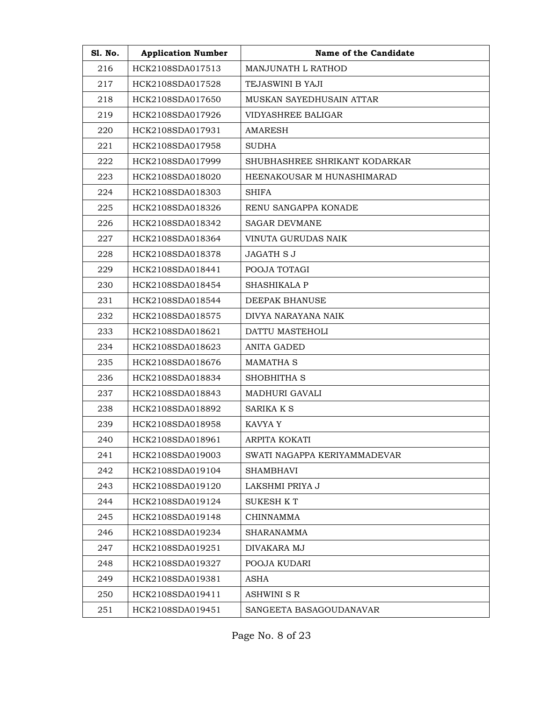| <b>S1. No.</b> | <b>Application Number</b> | Name of the Candidate         |
|----------------|---------------------------|-------------------------------|
| 216            | HCK2108SDA017513          | MANJUNATH L RATHOD            |
| 217            | HCK2108SDA017528          | TEJASWINI B YAJI              |
| 218            | HCK2108SDA017650          | MUSKAN SAYEDHUSAIN ATTAR      |
| 219            | HCK2108SDA017926          | VIDYASHREE BALIGAR            |
| 220            | HCK2108SDA017931          | <b>AMARESH</b>                |
| 221            | HCK2108SDA017958          | <b>SUDHA</b>                  |
| 222            | HCK2108SDA017999          | SHUBHASHREE SHRIKANT KODARKAR |
| 223            | HCK2108SDA018020          | HEENAKOUSAR M HUNASHIMARAD    |
| 224            | HCK2108SDA018303          | <b>SHIFA</b>                  |
| 225            | HCK2108SDA018326          | RENU SANGAPPA KONADE          |
| 226            | HCK2108SDA018342          | <b>SAGAR DEVMANE</b>          |
| 227            | HCK2108SDA018364          | VINUTA GURUDAS NAIK           |
| 228            | HCK2108SDA018378          | <b>JAGATH S J</b>             |
| 229            | HCK2108SDA018441          | POOJA TOTAGI                  |
| 230            | HCK2108SDA018454          | <b>SHASHIKALA P</b>           |
| 231            | HCK2108SDA018544          | <b>DEEPAK BHANUSE</b>         |
| 232            | HCK2108SDA018575          | DIVYA NARAYANA NAIK           |
| 233            | HCK2108SDA018621          | DATTU MASTEHOLI               |
| 234            | HCK2108SDA018623          | ANITA GADED                   |
| 235            | HCK2108SDA018676          | <b>MAMATHA S</b>              |
| 236            | HCK2108SDA018834          | SHOBHITHA S                   |
| 237            | HCK2108SDA018843          | <b>MADHURI GAVALI</b>         |
| 238            | HCK2108SDA018892          | SARIKA K S                    |
| 239            | HCK2108SDA018958          | KAVYA Y                       |
| 240            | HCK2108SDA018961          | ARPITA KOKATI                 |
| 241            | HCK2108SDA019003          | SWATI NAGAPPA KERIYAMMADEVAR  |
| 242            | HCK2108SDA019104          | <b>SHAMBHAVI</b>              |
| 243            | HCK2108SDA019120          | LAKSHMI PRIYA J               |
| 244            | HCK2108SDA019124          | <b>SUKESH KT</b>              |
| 245            | HCK2108SDA019148          | <b>CHINNAMMA</b>              |
| 246            | HCK2108SDA019234          | <b>SHARANAMMA</b>             |
| 247            | HCK2108SDA019251          | DIVAKARA MJ                   |
| 248            | HCK2108SDA019327          | POOJA KUDARI                  |
| 249            | HCK2108SDA019381          | ASHA                          |
| 250            | HCK2108SDA019411          | ASHWINI S R                   |
| 251            | HCK2108SDA019451          | SANGEETA BASAGOUDANAVAR       |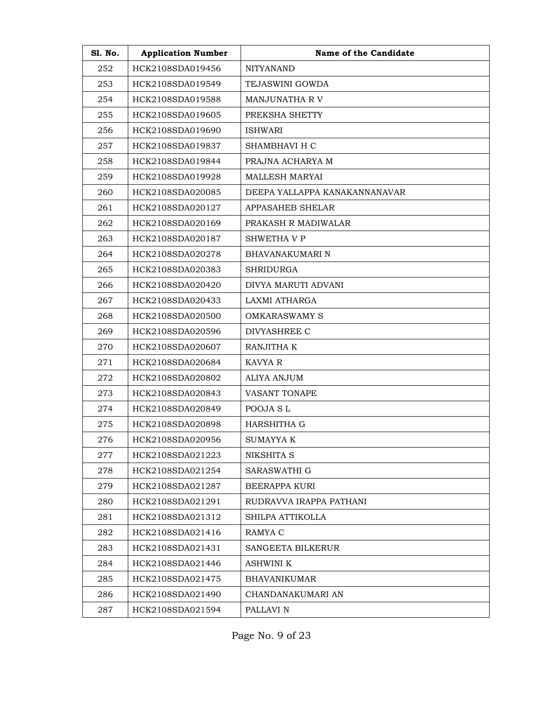| S1. No. | <b>Application Number</b> | Name of the Candidate         |
|---------|---------------------------|-------------------------------|
| 252     | HCK2108SDA019456          | <b>NITYANAND</b>              |
| 253     | HCK2108SDA019549          | TEJASWINI GOWDA               |
| 254     | HCK2108SDA019588          | <b>MANJUNATHA RV</b>          |
| 255     | HCK2108SDA019605          | PREKSHA SHETTY                |
| 256     | HCK2108SDA019690          | <b>ISHWARI</b>                |
| 257     | HCK2108SDA019837          | SHAMBHAVI H C                 |
| 258     | HCK2108SDA019844          | PRAJNA ACHARYA M              |
| 259     | HCK2108SDA019928          | <b>MALLESH MARYAI</b>         |
| 260     | HCK2108SDA020085          | DEEPA YALLAPPA KANAKANNANAVAR |
| 261     | HCK2108SDA020127          | APPASAHEB SHELAR              |
| 262     | HCK2108SDA020169          | PRAKASH R MADIWALAR           |
| 263     | HCK2108SDA020187          | SHWETHA V P                   |
| 264     | HCK2108SDA020278          | <b>BHAVANAKUMARI N</b>        |
| 265     | HCK2108SDA020383          | <b>SHRIDURGA</b>              |
| 266     | HCK2108SDA020420          | <b>DIVYA MARUTI ADVANI</b>    |
| 267     | HCK2108SDA020433          | LAXMI ATHARGA                 |
| 268     | HCK2108SDA020500          | OMKARASWAMY S                 |
| 269     | HCK2108SDA020596          | DIVYASHREE C                  |
| 270     | HCK2108SDA020607          | RANJITHA K                    |
| 271     | HCK2108SDA020684          | <b>KAVYA R</b>                |
| 272     | HCK2108SDA020802          | ALIYA ANJUM                   |
| 273     | HCK2108SDA020843          | <b>VASANT TONAPE</b>          |
| 274     | HCK2108SDA020849          | POOJA SL                      |
| 275     | HCK2108SDA020898          | HARSHITHA G                   |
| 276     | HCK2108SDA020956          | SUMAYYA K                     |
| 277     | HCK2108SDA021223          | NIKSHITA S                    |
| 278     | HCK2108SDA021254          | SARASWATHI G                  |
| 279     | HCK2108SDA021287          | <b>BEERAPPA KURI</b>          |
| 280     | HCK2108SDA021291          | RUDRAVVA IRAPPA PATHANI       |
| 281     | HCK2108SDA021312          | SHILPA ATTIKOLLA              |
| 282     | HCK2108SDA021416          | RAMYA C                       |
| 283     | HCK2108SDA021431          | <b>SANGEETA BILKERUR</b>      |
| 284     | HCK2108SDA021446          | ASHWINI K                     |
| 285     | HCK2108SDA021475          | <b>BHAVANIKUMAR</b>           |
| 286     | HCK2108SDA021490          | CHANDANAKUMARI AN             |
| 287     | HCK2108SDA021594          | PALLAVI N                     |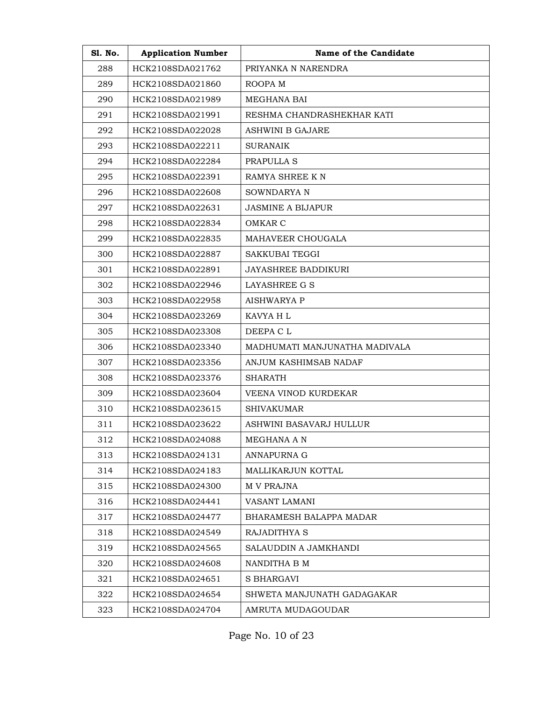| S1. No. | <b>Application Number</b> | Name of the Candidate         |
|---------|---------------------------|-------------------------------|
| 288     | HCK2108SDA021762          | PRIYANKA N NARENDRA           |
| 289     | HCK2108SDA021860          | ROOPA M                       |
| 290     | HCK2108SDA021989          | <b>MEGHANA BAI</b>            |
| 291     | HCK2108SDA021991          | RESHMA CHANDRASHEKHAR KATI    |
| 292     | HCK2108SDA022028          | <b>ASHWINI B GAJARE</b>       |
| 293     | HCK2108SDA022211          | <b>SURANAIK</b>               |
| 294     | HCK2108SDA022284          | PRAPULLA S                    |
| 295     | HCK2108SDA022391          | RAMYA SHREE KN                |
| 296     | HCK2108SDA022608          | SOWNDARYA N                   |
| 297     | HCK2108SDA022631          | <b>JASMINE A BIJAPUR</b>      |
| 298     | HCK2108SDA022834          | OMKAR C                       |
| 299     | HCK2108SDA022835          | MAHAVEER CHOUGALA             |
| 300     | HCK2108SDA022887          | SAKKUBAI TEGGI                |
| 301     | HCK2108SDA022891          | <b>JAYASHREE BADDIKURI</b>    |
| 302     | HCK2108SDA022946          | LAYASHREE G S                 |
| 303     | HCK2108SDA022958          | <b>AISHWARYA P</b>            |
| 304     | HCK2108SDA023269          | KAVYA H L                     |
| 305     | HCK2108SDA023308          | DEEPA C L                     |
| 306     | HCK2108SDA023340          | MADHUMATI MANJUNATHA MADIVALA |
| 307     | HCK2108SDA023356          | ANJUM KASHIMSAB NADAF         |
| 308     | HCK2108SDA023376          | SHARATH                       |
| 309     | HCK2108SDA023604          | VEENA VINOD KURDEKAR          |
| 310     | HCK2108SDA023615          | <b>SHIVAKUMAR</b>             |
| 311     | HCK2108SDA023622          | ASHWINI BASAVARJ HULLUR       |
| 312     | HCK2108SDA024088          | MEGHANA A N                   |
| 313     | HCK2108SDA024131          | <b>ANNAPURNA G</b>            |
| 314     | HCK2108SDA024183          | MALLIKARJUN KOTTAL            |
| 315     | HCK2108SDA024300          | M V PRAJNA                    |
| 316     | HCK2108SDA024441          | VASANT LAMANI                 |
| 317     | HCK2108SDA024477          | BHARAMESH BALAPPA MADAR       |
| 318     | HCK2108SDA024549          | RAJADITHYA S                  |
| 319     | HCK2108SDA024565          | SALAUDDIN A JAMKHANDI         |
| 320     | HCK2108SDA024608          | NANDITHA B M                  |
| 321     | HCK2108SDA024651          | S BHARGAVI                    |
| 322     | HCK2108SDA024654          | SHWETA MANJUNATH GADAGAKAR    |
| 323     | HCK2108SDA024704          | AMRUTA MUDAGOUDAR             |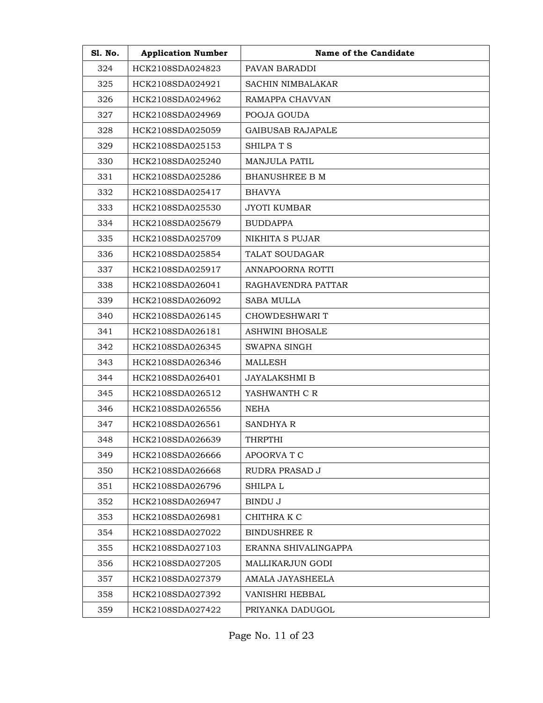| <b>Sl. No.</b> | <b>Application Number</b> | Name of the Candidate    |
|----------------|---------------------------|--------------------------|
| 324            | HCK2108SDA024823          | PAVAN BARADDI            |
| 325            | HCK2108SDA024921          | SACHIN NIMBALAKAR        |
| 326            | HCK2108SDA024962          | RAMAPPA CHAVVAN          |
| 327            | HCK2108SDA024969          | POOJA GOUDA              |
| 328            | HCK2108SDA025059          | <b>GAIBUSAB RAJAPALE</b> |
| 329            | HCK2108SDA025153          | SHILPA T S               |
| 330            | HCK2108SDA025240          | <b>MANJULA PATIL</b>     |
| 331            | HCK2108SDA025286          | <b>BHANUSHREE B M</b>    |
| 332            | HCK2108SDA025417          | BHAVYA                   |
| 333            | HCK2108SDA025530          | <b>JYOTI KUMBAR</b>      |
| 334            | HCK2108SDA025679          | <b>BUDDAPPA</b>          |
| 335            | HCK2108SDA025709          | NIKHITA S PUJAR          |
| 336            | HCK2108SDA025854          | TALAT SOUDAGAR           |
| 337            | HCK2108SDA025917          | ANNAPOORNA ROTTI         |
| 338            | HCK2108SDA026041          | RAGHAVENDRA PATTAR       |
| 339            | HCK2108SDA026092          | <b>SABA MULLA</b>        |
| 340            | HCK2108SDA026145          | CHOWDESHWARI T           |
| 341            | HCK2108SDA026181          | <b>ASHWINI BHOSALE</b>   |
| 342            | HCK2108SDA026345          | SWAPNA SINGH             |
| 343            | HCK2108SDA026346          | <b>MALLESH</b>           |
| 344            | HCK2108SDA026401          | <b>JAYALAKSHMI B</b>     |
| 345            | HCK2108SDA026512          | YASHWANTH C R            |
| 346            | HCK2108SDA026556          | <b>NEHA</b>              |
| 347            | HCK2108SDA026561          | <b>SANDHYA R</b>         |
| 348            | HCK2108SDA026639          | THRPTHI                  |
| 349            | HCK2108SDA026666          | APOORVA T C              |
| 350            | HCK2108SDA026668          | RUDRA PRASAD J           |
| 351            | HCK2108SDA026796          | SHILPA L                 |
| 352            | HCK2108SDA026947          | BINDU J                  |
| 353            | HCK2108SDA026981          | CHITHRA K C              |
| 354            | HCK2108SDA027022          | <b>BINDUSHREE R</b>      |
| 355            | HCK2108SDA027103          | ERANNA SHIVALINGAPPA     |
| 356            | HCK2108SDA027205          | MALLIKARJUN GODI         |
| 357            | HCK2108SDA027379          | AMALA JAYASHEELA         |
| 358            | HCK2108SDA027392          | VANISHRI HEBBAL          |
| 359            | HCK2108SDA027422          | PRIYANKA DADUGOL         |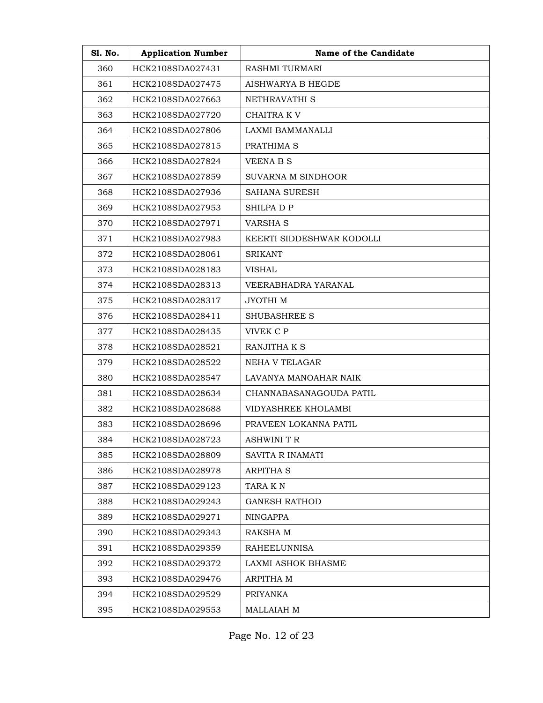| <b>S1. No.</b> | <b>Application Number</b> | Name of the Candidate     |
|----------------|---------------------------|---------------------------|
| 360            | HCK2108SDA027431          | <b>RASHMI TURMARI</b>     |
| 361            | HCK2108SDA027475          | AISHWARYA B HEGDE         |
| 362            | HCK2108SDA027663          | NETHRAVATHI S             |
| 363            | HCK2108SDA027720          | CHAITRA K V               |
| 364            | HCK2108SDA027806          | LAXMI BAMMANALLI          |
| 365            | HCK2108SDA027815          | PRATHIMA S                |
| 366            | HCK2108SDA027824          | <b>VEENA B S</b>          |
| 367            | HCK2108SDA027859          | SUVARNA M SINDHOOR        |
| 368            | HCK2108SDA027936          | SAHANA SURESH             |
| 369            | HCK2108SDA027953          | SHILPA D P                |
| 370            | HCK2108SDA027971          | <b>VARSHA S</b>           |
| 371            | HCK2108SDA027983          | KEERTI SIDDESHWAR KODOLLI |
| 372            | HCK2108SDA028061          | <b>SRIKANT</b>            |
| 373            | HCK2108SDA028183          | <b>VISHAL</b>             |
| 374            | HCK2108SDA028313          | VEERABHADRA YARANAL       |
| 375            | HCK2108SDA028317          | JYOTHI M                  |
| 376            | HCK2108SDA028411          | <b>SHUBASHREE S</b>       |
| 377            | HCK2108SDA028435          | VIVEK C P                 |
| 378            | HCK2108SDA028521          | RANJITHA K S              |
| 379            | HCK2108SDA028522          | NEHA V TELAGAR            |
| 380            | HCK2108SDA028547          | LAVANYA MANOAHAR NAIK     |
| 381            | HCK2108SDA028634          | CHANNABASANAGOUDA PATIL   |
| 382            | HCK2108SDA028688          | VIDYASHREE KHOLAMBI       |
| 383            | HCK2108SDA028696          | PRAVEEN LOKANNA PATIL     |
| 384            | HCK2108SDA028723          | ASHWINI T R               |
| 385            | HCK2108SDA028809          | SAVITA R INAMATI          |
| 386            | HCK2108SDA028978          | ARPITHA S                 |
| 387            | HCK2108SDA029123          | TARA K N                  |
| 388            | HCK2108SDA029243          | <b>GANESH RATHOD</b>      |
| 389            | HCK2108SDA029271          | <b>NINGAPPA</b>           |
| 390            | HCK2108SDA029343          | RAKSHA M                  |
| 391            | HCK2108SDA029359          | <b>RAHEELUNNISA</b>       |
| 392            | HCK2108SDA029372          | LAXMI ASHOK BHASME        |
| 393            | HCK2108SDA029476          | ARPITHA M                 |
| 394            | HCK2108SDA029529          | <b>PRIYANKA</b>           |
| 395            | HCK2108SDA029553          | MALLAIAH M                |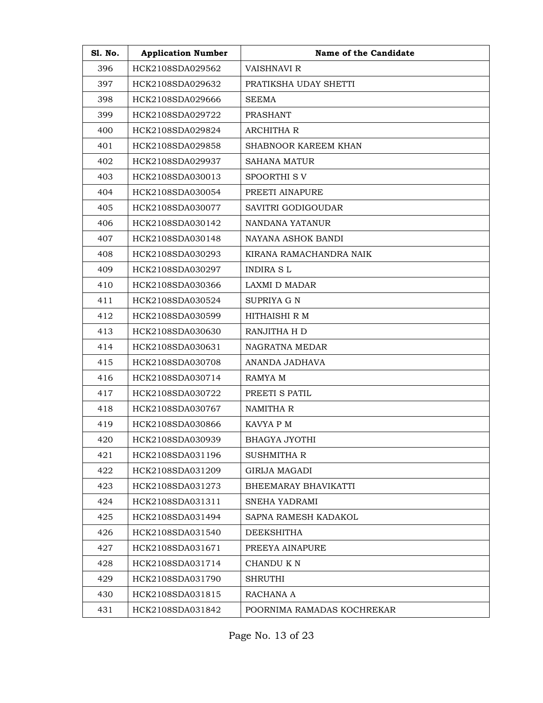| <b>S1. No.</b> | <b>Application Number</b> | Name of the Candidate      |
|----------------|---------------------------|----------------------------|
| 396            | HCK2108SDA029562          | <b>VAISHNAVI R</b>         |
| 397            | HCK2108SDA029632          | PRATIKSHA UDAY SHETTI      |
| 398            | HCK2108SDA029666          | SEEMA                      |
| 399            | HCK2108SDA029722          | <b>PRASHANT</b>            |
| 400            | HCK2108SDA029824          | <b>ARCHITHA R</b>          |
| 401            | HCK2108SDA029858          | SHABNOOR KAREEM KHAN       |
| 402            | HCK2108SDA029937          | <b>SAHANA MATUR</b>        |
| 403            | HCK2108SDA030013          | SPOORTHI SV                |
| 404            | HCK2108SDA030054          | PREETI AINAPURE            |
| 405            | HCK2108SDA030077          | SAVITRI GODIGOUDAR         |
| 406            | HCK2108SDA030142          | NANDANA YATANUR            |
| 407            | HCK2108SDA030148          | NAYANA ASHOK BANDI         |
| 408            | HCK2108SDA030293          | KIRANA RAMACHANDRA NAIK    |
| 409            | HCK2108SDA030297          | <b>INDIRA SL</b>           |
| 410            | HCK2108SDA030366          | <b>LAXMI D MADAR</b>       |
| 411            | HCK2108SDA030524          | SUPRIYA G N                |
| 412            | HCK2108SDA030599          | HITHAISHI R M              |
| 413            | HCK2108SDA030630          | RANJITHA H D               |
| 414            | HCK2108SDA030631          | NAGRATNA MEDAR             |
| 415            | HCK2108SDA030708          | ANANDA JADHAVA             |
| 416            | HCK2108SDA030714          | RAMYA M                    |
| 417            | HCK2108SDA030722          | PREETI S PATIL             |
| 418            | HCK2108SDA030767          | <b>NAMITHA R</b>           |
| 419            | HCK2108SDA030866          | KAVYA P M                  |
| 420            | HCK2108SDA030939          | BHAGYA JYOTHI              |
| 421            | HCK2108SDA031196          | SUSHMITHA R                |
| 422            | HCK2108SDA031209          | GIRIJA MAGADI              |
| 423            | HCK2108SDA031273          | BHEEMARAY BHAVIKATTI       |
| 424            | HCK2108SDA031311          | SNEHA YADRAMI              |
| 425            | HCK2108SDA031494          | SAPNA RAMESH KADAKOL       |
| 426            | HCK2108SDA031540          | DEEKSHITHA                 |
| 427            | HCK2108SDA031671          | PREEYA AINAPURE            |
| 428            | HCK2108SDA031714          | CHANDU K N                 |
| 429            | HCK2108SDA031790          | <b>SHRUTHI</b>             |
| 430            | HCK2108SDA031815          | RACHANA A                  |
| 431            | HCK2108SDA031842          | POORNIMA RAMADAS KOCHREKAR |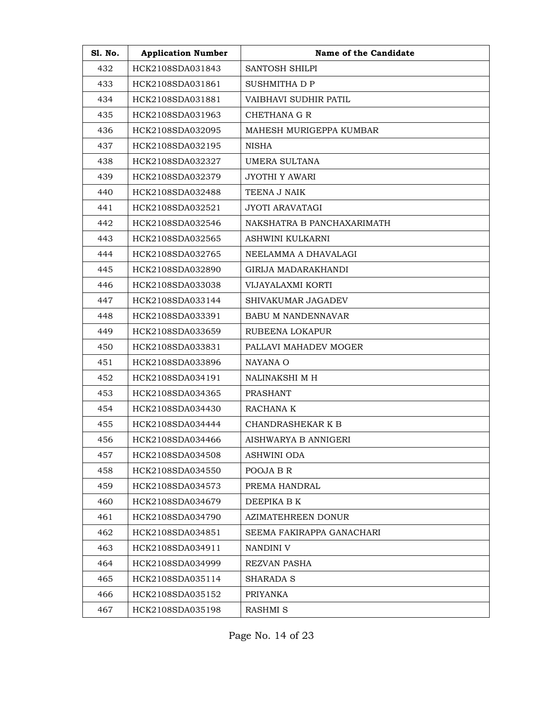| <b>S1. No.</b> | <b>Application Number</b> | Name of the Candidate      |
|----------------|---------------------------|----------------------------|
| 432            | HCK2108SDA031843          | SANTOSH SHILPI             |
| 433            | HCK2108SDA031861          | SUSHMITHA D P              |
| 434            | HCK2108SDA031881          | VAIBHAVI SUDHIR PATIL      |
| 435            | HCK2108SDA031963          | CHETHANA G R               |
| 436            | HCK2108SDA032095          | MAHESH MURIGEPPA KUMBAR    |
| 437            | HCK2108SDA032195          | NISHA                      |
| 438            | HCK2108SDA032327          | UMERA SULTANA              |
| 439            | HCK2108SDA032379          | JYOTHI Y AWARI             |
| 440            | HCK2108SDA032488          | TEENA J NAIK               |
| 441            | HCK2108SDA032521          | <b>JYOTI ARAVATAGI</b>     |
| 442            | HCK2108SDA032546          | NAKSHATRA B PANCHAXARIMATH |
| 443            | HCK2108SDA032565          | ASHWINI KULKARNI           |
| 444            | HCK2108SDA032765          | NEELAMMA A DHAVALAGI       |
| 445            | HCK2108SDA032890          | GIRIJA MADARAKHANDI        |
| 446            | HCK2108SDA033038          | VIJAYALAXMI KORTI          |
| 447            | HCK2108SDA033144          | SHIVAKUMAR JAGADEV         |
| 448            | HCK2108SDA033391          | <b>BABU M NANDENNAVAR</b>  |
| 449            | HCK2108SDA033659          | RUBEENA LOKAPUR            |
| 450            | HCK2108SDA033831          | PALLAVI MAHADEV MOGER      |
| 451            | HCK2108SDA033896          | <b>NAYANA O</b>            |
| 452            | HCK2108SDA034191          | NALINAKSHI M H             |
| 453            | HCK2108SDA034365          | <b>PRASHANT</b>            |
| 454            | HCK2108SDA034430          | RACHANA K                  |
| 455            | HCK2108SDA034444          | CHANDRASHEKAR K B          |
| 456            | HCK2108SDA034466          | AISHWARYA B ANNIGERI       |
| 457            | HCK2108SDA034508          | ASHWINI ODA                |
| 458            | HCK2108SDA034550          | POOJA B R                  |
| 459            | HCK2108SDA034573          | PREMA HANDRAL              |
| 460            | HCK2108SDA034679          | DEEPIKA B K                |
| 461            | HCK2108SDA034790          | AZIMATEHREEN DONUR         |
| 462            | HCK2108SDA034851          | SEEMA FAKIRAPPA GANACHARI  |
| 463            | HCK2108SDA034911          | NANDINI V                  |
| 464            | HCK2108SDA034999          | REZVAN PASHA               |
| 465            | HCK2108SDA035114          | <b>SHARADA S</b>           |
| 466            | HCK2108SDA035152          | PRIYANKA                   |
| 467            | HCK2108SDA035198          | <b>RASHMI S</b>            |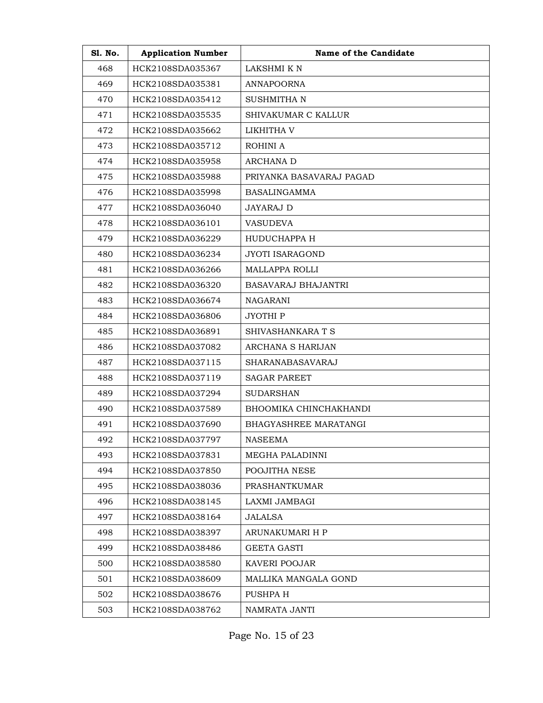| Sl. No. | <b>Application Number</b> | Name of the Candidate      |
|---------|---------------------------|----------------------------|
| 468     | HCK2108SDA035367          | LAKSHMI K N                |
| 469     | HCK2108SDA035381          | <b>ANNAPOORNA</b>          |
| 470     | HCK2108SDA035412          | <b>SUSHMITHAN</b>          |
| 471     | HCK2108SDA035535          | SHIVAKUMAR C KALLUR        |
| 472     | HCK2108SDA035662          | LIKHITHA V                 |
| 473     | HCK2108SDA035712          | ROHINI A                   |
| 474     | HCK2108SDA035958          | <b>ARCHANA D</b>           |
| 475     | HCK2108SDA035988          | PRIYANKA BASAVARAJ PAGAD   |
| 476     | HCK2108SDA035998          | <b>BASALINGAMMA</b>        |
| 477     | HCK2108SDA036040          | <b>JAYARAJ D</b>           |
| 478     | HCK2108SDA036101          | <b>VASUDEVA</b>            |
| 479     | HCK2108SDA036229          | HUDUCHAPPA H               |
| 480     | HCK2108SDA036234          | JYOTI ISARAGOND            |
| 481     | HCK2108SDA036266          | <b>MALLAPPA ROLLI</b>      |
| 482     | HCK2108SDA036320          | <b>BASAVARAJ BHAJANTRI</b> |
| 483     | HCK2108SDA036674          | NAGARANI                   |
| 484     | HCK2108SDA036806          | JYOTHI P                   |
| 485     | HCK2108SDA036891          | SHIVASHANKARA T S          |
| 486     | HCK2108SDA037082          | ARCHANA S HARIJAN          |
| 487     | HCK2108SDA037115          | <b>SHARANABASAVARAJ</b>    |
| 488     | HCK2108SDA037119          | <b>SAGAR PAREET</b>        |
| 489     | HCK2108SDA037294          | SUDARSHAN                  |
| 490     | HCK2108SDA037589          | BHOOMIKA CHINCHAKHANDI     |
| 491     | HCK2108SDA037690          | BHAGYASHREE MARATANGI      |
| 492     | HCK2108SDA037797          | NASEEMA                    |
| 493     | HCK2108SDA037831          | MEGHA PALADINNI            |
| 494     | HCK2108SDA037850          | POOJITHA NESE              |
| 495     | HCK2108SDA038036          | <b>PRASHANTKUMAR</b>       |
| 496     | HCK2108SDA038145          | LAXMI JAMBAGI              |
| 497     | HCK2108SDA038164          | JALALSA                    |
| 498     | HCK2108SDA038397          | ARUNAKUMARI H P            |
| 499     | HCK2108SDA038486          | GEETA GASTI                |
| 500     | HCK2108SDA038580          | KAVERI POOJAR              |
| 501     | HCK2108SDA038609          | MALLIKA MANGALA GOND       |
| 502     | HCK2108SDA038676          | PUSHPA H                   |
| 503     | HCK2108SDA038762          | NAMRATA JANTI              |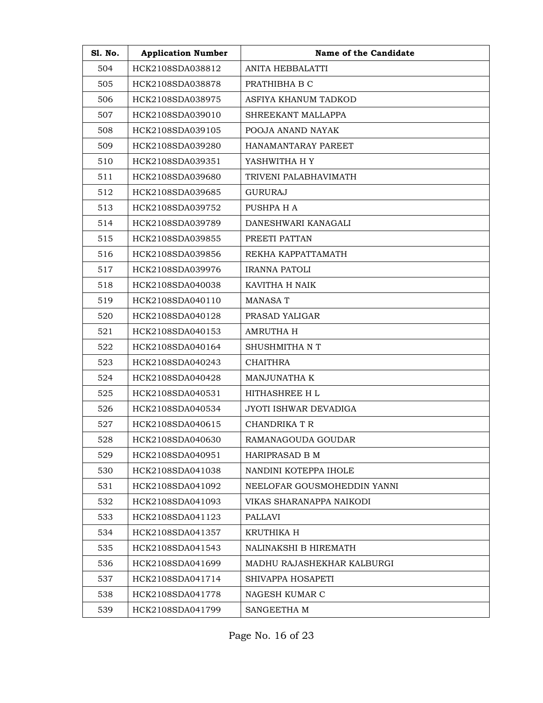| <b>S1. No.</b> | <b>Application Number</b> | Name of the Candidate        |
|----------------|---------------------------|------------------------------|
| 504            | HCK2108SDA038812          | ANITA HEBBALATTI             |
| 505            | HCK2108SDA038878          | PRATHIBHA B C                |
| 506            | HCK2108SDA038975          | ASFIYA KHANUM TADKOD         |
| 507            | HCK2108SDA039010          | SHREEKANT MALLAPPA           |
| 508            | HCK2108SDA039105          | POOJA ANAND NAYAK            |
| 509            | HCK2108SDA039280          | HANAMANTARAY PAREET          |
| 510            | HCK2108SDA039351          | YASHWITHA H Y                |
| 511            | HCK2108SDA039680          | TRIVENI PALABHAVIMATH        |
| 512            | HCK2108SDA039685          | GURURAJ                      |
| 513            | HCK2108SDA039752          | PUSHPA H A                   |
| 514            | HCK2108SDA039789          | DANESHWARI KANAGALI          |
| 515            | HCK2108SDA039855          | PREETI PATTAN                |
| 516            | HCK2108SDA039856          | REKHA KAPPATTAMATH           |
| 517            | HCK2108SDA039976          | <b>IRANNA PATOLI</b>         |
| 518            | HCK2108SDA040038          | KAVITHA H NAIK               |
| 519            | HCK2108SDA040110          | <b>MANASA T</b>              |
| 520            | HCK2108SDA040128          | PRASAD YALIGAR               |
| 521            | HCK2108SDA040153          | AMRUTHA H                    |
| 522            | HCK2108SDA040164          | SHUSHMITHA N T               |
| 523            | HCK2108SDA040243          | <b>CHAITHRA</b>              |
| 524            | HCK2108SDA040428          | MANJUNATHA K                 |
| 525            | HCK2108SDA040531          | <b>HITHASHREE HL</b>         |
| 526            | HCK2108SDA040534          | <b>JYOTI ISHWAR DEVADIGA</b> |
| 527            | HCK2108SDA040615          | CHANDRIKA T R                |
| 528            | HCK2108SDA040630          | RAMANAGOUDA GOUDAR           |
| 529            | HCK2108SDA040951          | HARIPRASAD B M               |
| 530            | HCK2108SDA041038          | NANDINI KOTEPPA IHOLE        |
| 531            | HCK2108SDA041092          | NEELOFAR GOUSMOHEDDIN YANNI  |
| 532            | HCK2108SDA041093          | VIKAS SHARANAPPA NAIKODI     |
| 533            | HCK2108SDA041123          | PALLAVI                      |
| 534            | HCK2108SDA041357          | KRUTHIKA H                   |
| 535            | HCK2108SDA041543          | NALINAKSHI B HIREMATH        |
| 536            | HCK2108SDA041699          | MADHU RAJASHEKHAR KALBURGI   |
| 537            | HCK2108SDA041714          | SHIVAPPA HOSAPETI            |
| 538            | HCK2108SDA041778          | NAGESH KUMAR C               |
| 539            | HCK2108SDA041799          | SANGEETHA M                  |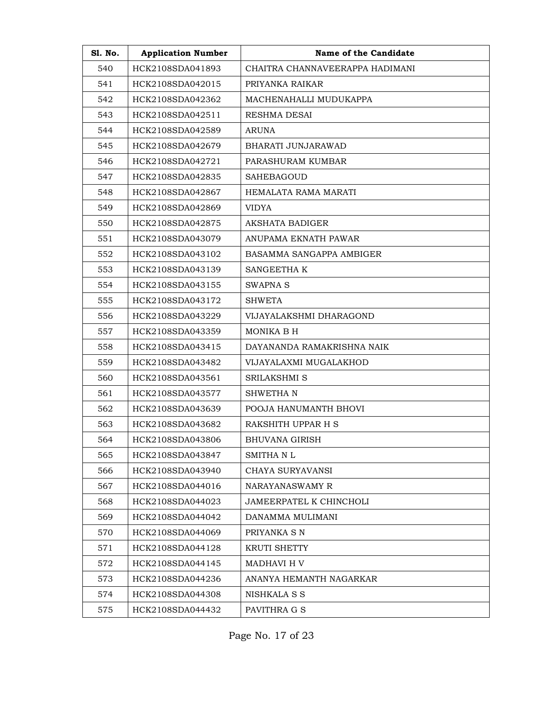| S1. No. | <b>Application Number</b> | Name of the Candidate           |  |
|---------|---------------------------|---------------------------------|--|
| 540     | HCK2108SDA041893          | CHAITRA CHANNAVEERAPPA HADIMANI |  |
| 541     | HCK2108SDA042015          | PRIYANKA RAIKAR                 |  |
| 542     | HCK2108SDA042362          | MACHENAHALLI MUDUKAPPA          |  |
| 543     | HCK2108SDA042511          | RESHMA DESAI                    |  |
| 544     | HCK2108SDA042589          | <b>ARUNA</b>                    |  |
| 545     | HCK2108SDA042679          | BHARATI JUNJARAWAD              |  |
| 546     | HCK2108SDA042721          | PARASHURAM KUMBAR               |  |
| 547     | HCK2108SDA042835          | <b>SAHEBAGOUD</b>               |  |
| 548     | HCK2108SDA042867          | HEMALATA RAMA MARATI            |  |
| 549     | HCK2108SDA042869          | <b>VIDYA</b>                    |  |
| 550     | HCK2108SDA042875          | AKSHATA BADIGER                 |  |
| 551     | HCK2108SDA043079          | ANUPAMA EKNATH PAWAR            |  |
| 552     | HCK2108SDA043102          | BASAMMA SANGAPPA AMBIGER        |  |
| 553     | HCK2108SDA043139          | SANGEETHA K                     |  |
| 554     | HCK2108SDA043155          | <b>SWAPNA S</b>                 |  |
| 555     | HCK2108SDA043172          | <b>SHWETA</b>                   |  |
| 556     | HCK2108SDA043229          | VIJAYALAKSHMI DHARAGOND         |  |
| 557     | HCK2108SDA043359          | MONIKA B H                      |  |
| 558     | HCK2108SDA043415          | DAYANANDA RAMAKRISHNA NAIK      |  |
| 559     | HCK2108SDA043482          | VIJAYALAXMI MUGALAKHOD          |  |
| 560     | HCK2108SDA043561          | SRILAKSHMI S                    |  |
| 561     | HCK2108SDA043577          | <b>SHWETHAN</b>                 |  |
| 562     | HCK2108SDA043639          | POOJA HANUMANTH BHOVI           |  |
| 563     | HCK2108SDA043682          | RAKSHITH UPPAR H S              |  |
| 564     | HCK2108SDA043806          | BHUVANA GIRISH                  |  |
| 565     | HCK2108SDA043847          | SMITHA N L                      |  |
| 566     | HCK2108SDA043940          | CHAYA SURYAVANSI                |  |
| 567     | HCK2108SDA044016          | NARAYANASWAMY R                 |  |
| 568     | HCK2108SDA044023          | JAMEERPATEL K CHINCHOLI         |  |
| 569     | HCK2108SDA044042          | DANAMMA MULIMANI                |  |
| 570     | HCK2108SDA044069          | PRIYANKA S N                    |  |
| 571     | HCK2108SDA044128          | <b>KRUTI SHETTY</b>             |  |
| 572     | HCK2108SDA044145          | MADHAVI H V                     |  |
| 573     | HCK2108SDA044236          | ANANYA HEMANTH NAGARKAR         |  |
| 574     | HCK2108SDA044308          | NISHKALA S S                    |  |
| 575     | HCK2108SDA044432          | PAVITHRA G S                    |  |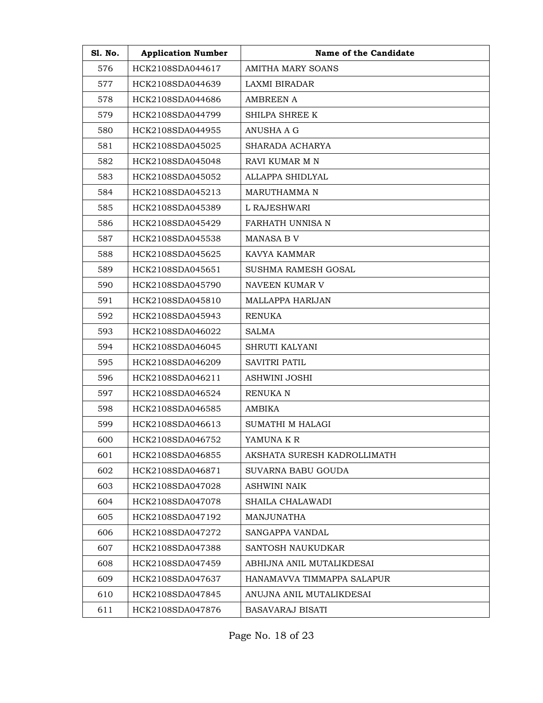| S1. No. | <b>Application Number</b> | Name of the Candidate       |
|---------|---------------------------|-----------------------------|
| 576     | HCK2108SDA044617          | AMITHA MARY SOANS           |
| 577     | HCK2108SDA044639          | LAXMI BIRADAR               |
| 578     | HCK2108SDA044686          | <b>AMBREEN A</b>            |
| 579     | HCK2108SDA044799          | SHILPA SHREE K              |
| 580     | HCK2108SDA044955          | ANUSHA A G                  |
| 581     | HCK2108SDA045025          | SHARADA ACHARYA             |
| 582     | HCK2108SDA045048          | RAVI KUMAR M N              |
| 583     | HCK2108SDA045052          | ALLAPPA SHIDLYAL            |
| 584     | HCK2108SDA045213          | MARUTHAMMA N                |
| 585     | HCK2108SDA045389          | L RAJESHWARI                |
| 586     | HCK2108SDA045429          | FARHATH UNNISA N            |
| 587     | HCK2108SDA045538          | <b>MANASA B V</b>           |
| 588     | HCK2108SDA045625          | KAVYA KAMMAR                |
| 589     | HCK2108SDA045651          | <b>SUSHMA RAMESH GOSAL</b>  |
| 590     | HCK2108SDA045790          | NAVEEN KUMAR V              |
| 591     | HCK2108SDA045810          | <b>MALLAPPA HARIJAN</b>     |
| 592     | HCK2108SDA045943          | <b>RENUKA</b>               |
| 593     | HCK2108SDA046022          | <b>SALMA</b>                |
| 594     | HCK2108SDA046045          | <b>SHRUTI KALYANI</b>       |
| 595     | HCK2108SDA046209          | <b>SAVITRI PATIL</b>        |
| 596     | HCK2108SDA046211          | ASHWINI JOSHI               |
| 597     | HCK2108SDA046524          | RENUKA N                    |
| 598     | HCK2108SDA046585          | AMBIKA                      |
| 599     | HCK2108SDA046613          | SUMATHI M HALAGI            |
| 600     | HCK2108SDA046752          | YAMUNA K R                  |
| 601     | HCK2108SDA046855          | AKSHATA SURESH KADROLLIMATH |
| 602     | HCK2108SDA046871          | SUVARNA BABU GOUDA          |
| 603     | HCK2108SDA047028          | ASHWINI NAIK                |
| 604     | HCK2108SDA047078          | SHAILA CHALAWADI            |
| 605     | HCK2108SDA047192          | MANJUNATHA                  |
| 606     | HCK2108SDA047272          | SANGAPPA VANDAL             |
| 607     | HCK2108SDA047388          | SANTOSH NAUKUDKAR           |
| 608     | HCK2108SDA047459          | ABHIJNA ANIL MUTALIKDESAI   |
| 609     | HCK2108SDA047637          | HANAMAVVA TIMMAPPA SALAPUR  |
| 610     | HCK2108SDA047845          | ANUJNA ANIL MUTALIKDESAI    |
| 611     | HCK2108SDA047876          | BASAVARAJ BISATI            |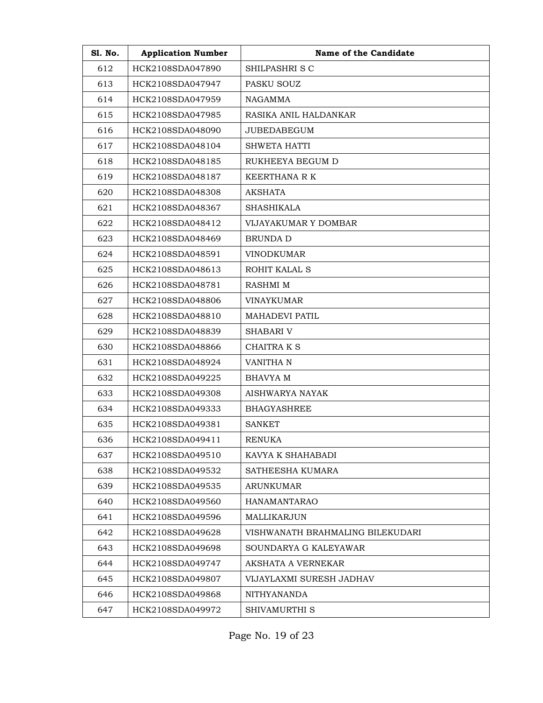| S1. No. | <b>Application Number</b> | Name of the Candidate            |
|---------|---------------------------|----------------------------------|
| 612     | HCK2108SDA047890          | SHILPASHRI S C                   |
| 613     | HCK2108SDA047947          | PASKU SOUZ                       |
| 614     | HCK2108SDA047959          | NAGAMMA                          |
| 615     | HCK2108SDA047985          | RASIKA ANIL HALDANKAR            |
| 616     | HCK2108SDA048090          | <b>JUBEDABEGUM</b>               |
| 617     | HCK2108SDA048104          | <b>SHWETA HATTI</b>              |
| 618     | HCK2108SDA048185          | RUKHEEYA BEGUM D                 |
| 619     | HCK2108SDA048187          | KEERTHANA R K                    |
| 620     | HCK2108SDA048308          | <b>AKSHATA</b>                   |
| 621     | HCK2108SDA048367          | <b>SHASHIKALA</b>                |
| 622     | HCK2108SDA048412          | VIJAYAKUMAR Y DOMBAR             |
| 623     | HCK2108SDA048469          | <b>BRUNDA D</b>                  |
| 624     | HCK2108SDA048591          | <b>VINODKUMAR</b>                |
| 625     | HCK2108SDA048613          | ROHIT KALAL S                    |
| 626     | HCK2108SDA048781          | <b>RASHMI M</b>                  |
| 627     | HCK2108SDA048806          | <b>VINAYKUMAR</b>                |
| 628     | HCK2108SDA048810          | MAHADEVI PATIL                   |
| 629     | HCK2108SDA048839          | <b>SHABARI V</b>                 |
| 630     | HCK2108SDA048866          | CHAITRA K S                      |
| 631     | HCK2108SDA048924          | VANITHA N                        |
| 632     | HCK2108SDA049225          | <b>BHAVYA M</b>                  |
| 633     | HCK2108SDA049308          | AISHWARYA NAYAK                  |
| 634     | HCK2108SDA049333          | <b>BHAGYASHREE</b>               |
| 635     | HCK2108SDA049381          | SANKET                           |
| 636     | HCK2108SDA049411          | <b>RENUKA</b>                    |
| 637     | HCK2108SDA049510          | KAVYA K SHAHABADI                |
| 638     | HCK2108SDA049532          | SATHEESHA KUMARA                 |
| 639     | HCK2108SDA049535          | ARUNKUMAR                        |
| 640     | HCK2108SDA049560          | <b>HANAMANTARAO</b>              |
| 641     | HCK2108SDA049596          | MALLIKARJUN                      |
| 642     | HCK2108SDA049628          | VISHWANATH BRAHMALING BILEKUDARI |
| 643     | HCK2108SDA049698          | SOUNDARYA G KALEYAWAR            |
| 644     | HCK2108SDA049747          | AKSHATA A VERNEKAR               |
| 645     | HCK2108SDA049807          | VIJAYLAXMI SURESH JADHAV         |
| 646     | HCK2108SDA049868          | <b>NITHYANANDA</b>               |
| 647     | HCK2108SDA049972          | SHIVAMURTHI S                    |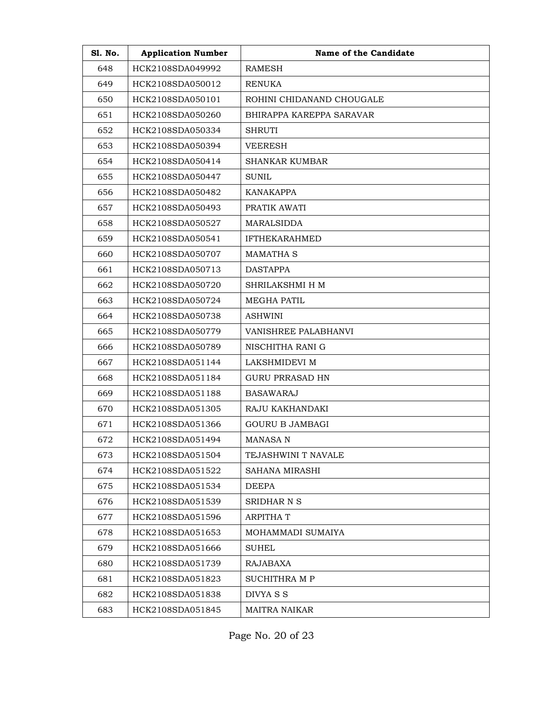| S1. No. | <b>Application Number</b> | Name of the Candidate     |
|---------|---------------------------|---------------------------|
| 648     | HCK2108SDA049992          | <b>RAMESH</b>             |
| 649     | HCK2108SDA050012          | RENUKA                    |
| 650     | HCK2108SDA050101          | ROHINI CHIDANAND CHOUGALE |
| 651     | HCK2108SDA050260          | BHIRAPPA KAREPPA SARAVAR  |
| 652     | HCK2108SDA050334          | <b>SHRUTI</b>             |
| 653     | HCK2108SDA050394          | <b>VEERESH</b>            |
| 654     | HCK2108SDA050414          | <b>SHANKAR KUMBAR</b>     |
| 655     | HCK2108SDA050447          | <b>SUNIL</b>              |
| 656     | HCK2108SDA050482          | <b>KANAKAPPA</b>          |
| 657     | HCK2108SDA050493          | PRATIK AWATI              |
| 658     | HCK2108SDA050527          | <b>MARALSIDDA</b>         |
| 659     | HCK2108SDA050541          | <b>IFTHEKARAHMED</b>      |
| 660     | HCK2108SDA050707          | <b>MAMATHA S</b>          |
| 661     | HCK2108SDA050713          | <b>DASTAPPA</b>           |
| 662     | HCK2108SDA050720          | SHRILAKSHMI H M           |
| 663     | HCK2108SDA050724          | MEGHA PATIL               |
| 664     | HCK2108SDA050738          | <b>ASHWINI</b>            |
| 665     | HCK2108SDA050779          | VANISHREE PALABHANVI      |
| 666     | HCK2108SDA050789          | NISCHITHA RANI G          |
| 667     | HCK2108SDA051144          | LAKSHMIDEVI M             |
| 668     | HCK2108SDA051184          | GURU PRRASAD HN           |
| 669     | HCK2108SDA051188          | <b>BASAWARAJ</b>          |
| 670     | HCK2108SDA051305          | RAJU KAKHANDAKI           |
| 671     | HCK2108SDA051366          | GOURU B JAMBAGI           |
| 672     | HCK2108SDA051494          | MANASA N                  |
| 673     | HCK2108SDA051504          | TEJASHWINI T NAVALE       |
| 674     | HCK2108SDA051522          | SAHANA MIRASHI            |
| 675     | HCK2108SDA051534          | DEEPA                     |
| 676     | HCK2108SDA051539          | SRIDHAR N S               |
| 677     | HCK2108SDA051596          | <b>ARPITHAT</b>           |
| 678     | HCK2108SDA051653          | MOHAMMADI SUMAIYA         |
| 679     | HCK2108SDA051666          | SUHEL                     |
| 680     | HCK2108SDA051739          | <b>RAJABAXA</b>           |
| 681     | HCK2108SDA051823          | SUCHITHRA M P             |
| 682     | HCK2108SDA051838          | DIVYA S S                 |
| 683     | HCK2108SDA051845          | <b>MAITRA NAIKAR</b>      |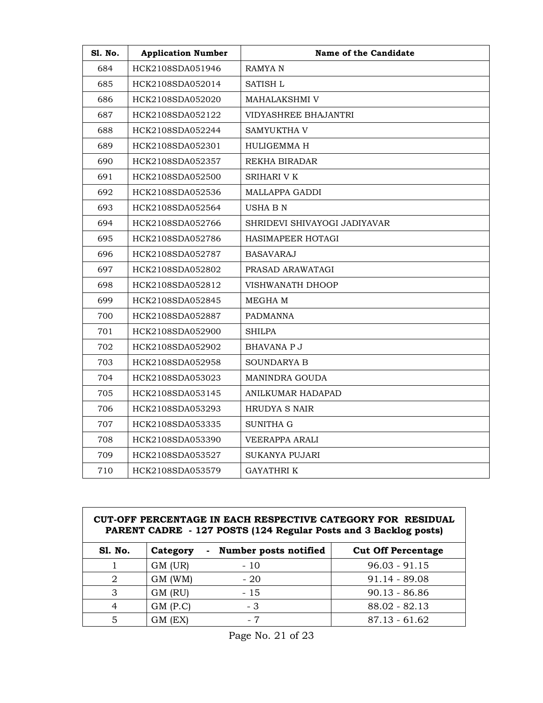| Sl. No. | <b>Application Number</b> | Name of the Candidate        |
|---------|---------------------------|------------------------------|
| 684     | HCK2108SDA051946          | RAMYA N                      |
| 685     | HCK2108SDA052014          | SATISH L                     |
| 686     | HCK2108SDA052020          | <b>MAHALAKSHMI V</b>         |
| 687     | HCK2108SDA052122          | VIDYASHREE BHAJANTRI         |
| 688     | HCK2108SDA052244          | SAMYUKTHA V                  |
| 689     | HCK2108SDA052301          | HULIGEMMA H                  |
| 690     | HCK2108SDA052357          | REKHA BIRADAR                |
| 691     | HCK2108SDA052500          | <b>SRIHARI V K</b>           |
| 692     | HCK2108SDA052536          | MALLAPPA GADDI               |
| 693     | HCK2108SDA052564          | USHA B N                     |
| 694     | HCK2108SDA052766          | SHRIDEVI SHIVAYOGI JADIYAVAR |
| 695     | HCK2108SDA052786          | HASIMAPEER HOTAGI            |
| 696     | HCK2108SDA052787          | BASAVARAJ                    |
| 697     | HCK2108SDA052802          | PRASAD ARAWATAGI             |
| 698     | HCK2108SDA052812          | VISHWANATH DHOOP             |
| 699     | HCK2108SDA052845          | MEGHA M                      |
| 700     | HCK2108SDA052887          | <b>PADMANNA</b>              |
| 701     | HCK2108SDA052900          | <b>SHILPA</b>                |
| 702     | HCK2108SDA052902          | <b>BHAVANA P J</b>           |
| 703     | HCK2108SDA052958          | <b>SOUNDARYA B</b>           |
| 704     | HCK2108SDA053023          | MANINDRA GOUDA               |
| 705     | HCK2108SDA053145          | ANILKUMAR HADAPAD            |
| 706     | HCK2108SDA053293          | HRUDYA S NAIR                |
| 707     | HCK2108SDA053335          | SUNITHA G                    |
| 708     | HCK2108SDA053390          | VEERAPPA ARALI               |
| 709     | HCK2108SDA053527          | <b>SUKANYA PUJARI</b>        |
| 710     | HCK2108SDA053579          | GAYATHRI K                   |

#### **CUT-OFF PERCENTAGE IN EACH RESPECTIVE CATEGORY FOR RESIDUAL PARENT CADRE - 127 POSTS (124 Regular Posts and 3 Backlog posts)**

| <b>S1. No.</b> | Category   | Number posts notified<br>Ξ. | <b>Cut Off Percentage</b> |
|----------------|------------|-----------------------------|---------------------------|
|                | GM (UR)    | $-10$                       | $96.03 - 91.15$           |
| 2              | GM (WM)    | $-20$                       | $91.14 - 89.08$           |
| 3              | GM (RU)    | - 15                        | $90.13 - 86.86$           |
| 4              | $GM$ (P.C) | - 3                         | $88.02 - 82.13$           |
| 5              | GM (EX)    | - 7                         | $87.13 - 61.62$           |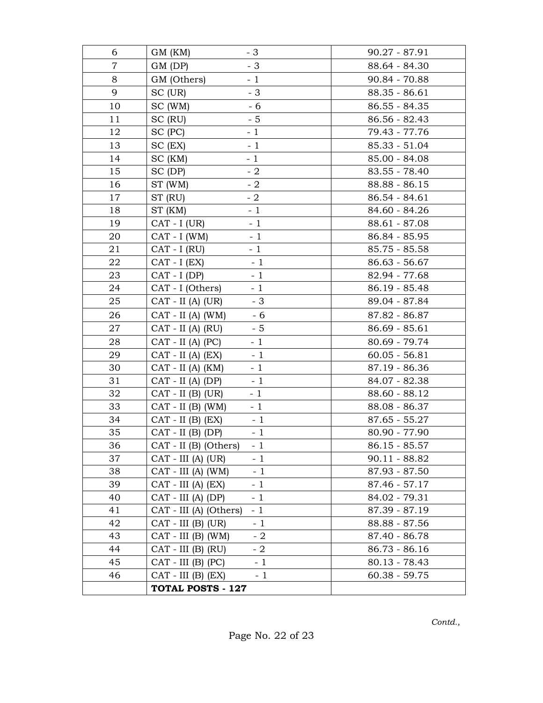| 6              | $-3$<br>GM (KM)                | $90.27 - 87.91$ |
|----------------|--------------------------------|-----------------|
| $\overline{7}$ | $-3$<br>GM (DP)                | 88.64 - 84.30   |
| 8              | GM (Others)<br>$-1$            | 90.84 - 70.88   |
| 9              | $-3$<br>SC (UR)                | $88.35 - 86.61$ |
| 10             | - 6<br>SC (WM)                 | $86.55 - 84.35$ |
| 11             | $-5$<br>SC (RU)                | $86.56 - 82.43$ |
| 12             | $-1$<br>SC (PC)                | 79.43 - 77.76   |
| 13             | $-1$<br>$SC$ (EX)              | $85.33 - 51.04$ |
| 14             | $-1$<br>SC (KM)                | $85.00 - 84.08$ |
| 15             | $-2$<br>SC (DP)                | $83.55 - 78.40$ |
| 16             | $-2$<br>ST (WM)                | 88.88 - 86.15   |
| 17             | ST (RU)<br>$-2$                | $86.54 - 84.61$ |
| 18             | $-1$<br>ST (KM)                | 84.60 - 84.26   |
| 19             | $CAT - I (UR)$<br>$-1$         | $88.61 - 87.08$ |
| 20             | $CAT - I$ (WM)<br>$-1$         | 86.84 - 85.95   |
| 21             | $-1$<br>$CAT - I (RU)$         | $85.75 - 85.58$ |
| 22             | $-1$<br>$CAT - I (EX)$         | $86.63 - 56.67$ |
| 23             | $CAT - I (DP)$<br>$-1$         | 82.94 - 77.68   |
| 24             | $-1$<br>CAT - I (Others)       | $86.19 - 85.48$ |
| 25             | $CAT - II (A) (UR)$<br>$-3$    | 89.04 - 87.84   |
| 26             | $-6$<br>$CAT - II (A) (WM)$    | 87.82 - 86.87   |
| 27             | $CAT - II (A) (RU)$<br>$-5$    | $86.69 - 85.61$ |
| 28             | $-1$<br>$CAT - II (A) (PC)$    | 80.69 - 79.74   |
| 29             | $CAT - II (A) (EX)$<br>$-1$    | $60.05 - 56.81$ |
| 30             | $-1$<br>$CAT - II (A) (KM)$    | 87.19 - 86.36   |
| 31             | $CAT - II (A) (DP)$<br>$-1$    | 84.07 - 82.38   |
| 32             | $CAT - II$ (B) (UR)<br>$-1$    | 88.60 - 88.12   |
| 33             | $CAT - II$ (B) (WM)<br>$-1$    | 88.08 - 86.37   |
| 34             | $CAT - II$ (B) $(EX)$<br>$-1$  | $87.65 - 55.27$ |
| 35             | $-1$<br>$CAT - II$ (B) (DP)    | 80.90 - 77.90   |
| 36             | $CAT - II$ (B) (Others)<br>- 1 | $86.15 - 85.57$ |
| 37             | $-1$<br>CAT - III (A) (UR)     | $90.11 - 88.82$ |
| 38             | $CAT - III (A) (WM)$<br>$-1$   | $87.93 - 87.50$ |
| 39             | $CAT - III (A) (EX)$<br>$-1$   | $87.46 - 57.17$ |
| 40             | $-1$<br>$CAT - III (A) (DP)$   | 84.02 - 79.31   |
| 41             | CAT - III (A) (Others)<br>$-1$ | 87.39 - 87.19   |
| 42             | CAT - III (B) (UR)<br>$-1$     | 88.88 - 87.56   |
| 43             | $CAT - III$ (B) (WM)<br>$-2$   | 87.40 - 86.78   |
| 44             | $CAT - III$ (B) (RU)<br>$-2$   | $86.73 - 86.16$ |
| 45             | $CAT - III$ (B) (PC)<br>$-1$   | $80.13 - 78.43$ |
| 46             | $CAT - III$ (B) $(EX)$<br>$-1$ | $60.38 - 59.75$ |
|                | TOTAL POSTS - 127              |                 |